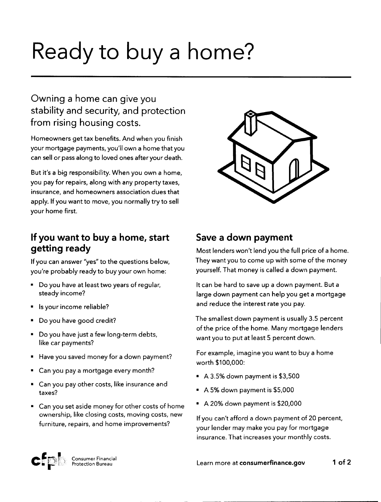# Ready to buy a home?

# Owning a home can give you stability and security, and protection from rising housing costs.

Homeowners get tax benefits. And when you finish your mortgage payments, you'll own a home that you can sell or pass along to loved ones after your death.

But it's a big responsibility. When you own a home, you pay for repairs, along with any property taxes, insurance, and homeowners association dues that apply. If you want to move, you normally try to sell your home first.

# **If you want to buy a home, start getting ready**

If you can answer "yes" to the questions below, you're probably ready to buy your own home:

- Do you have at least two years of regular, steady income?
- Isyour income reliable?
- Do you have good credit?
- Do you have just a few long-term debts, like car payments?
- Have you saved money for a down payment?
- Can you pay a mortgage every month?
- Can you pay other costs, like insurance and taxes?
- Canyou set aside money for other costs of home ownership, like closing costs, moving costs, new furniture, repairs, and home improvements?



## **Save a down payment**

Most lenders won't lend you the full price of a home. They want you to come up with some of the money yourself. That money is called a down payment.

It can be hard to save up a down payment. But a large down payment can help you get a mortgage and reduce the interest rate you pay.

The smallest down payment is usually 3.5 percent of the price of the home. Many mortgage lenders want you to put at least 5 percent down.

For example, imagine you want to buy a home worth \$100,000:

- A 3.5% down payment is \$3,500
- A 5% down payment is \$5,000
- A 20% down payment is \$20,000

If you can't afford a down payment of 20 percent, your lender may makeyou payfor mortgage insurance. That increases your monthly costs.